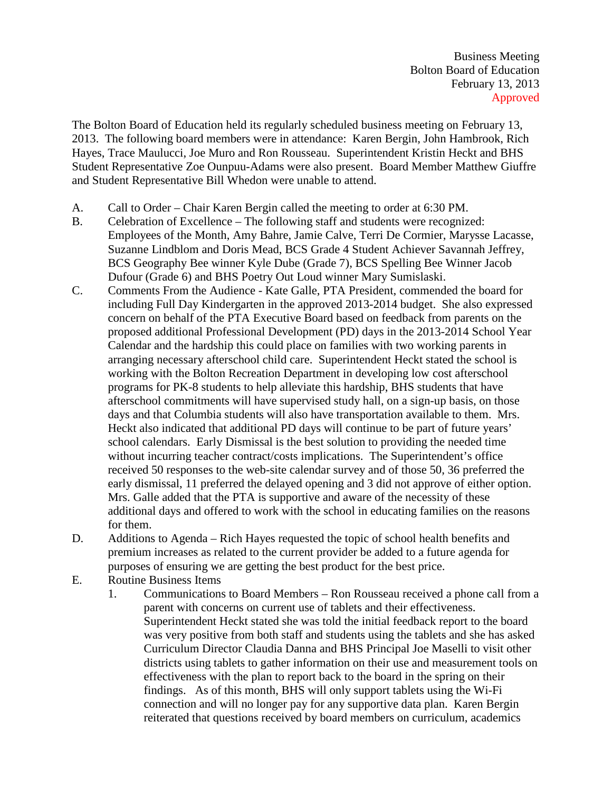The Bolton Board of Education held its regularly scheduled business meeting on February 13, 2013. The following board members were in attendance: Karen Bergin, John Hambrook, Rich Hayes, Trace Maulucci, Joe Muro and Ron Rousseau. Superintendent Kristin Heckt and BHS Student Representative Zoe Ounpuu-Adams were also present. Board Member Matthew Giuffre and Student Representative Bill Whedon were unable to attend.

- A. Call to Order Chair Karen Bergin called the meeting to order at 6:30 PM.
- B. Celebration of Excellence The following staff and students were recognized: Employees of the Month, Amy Bahre, Jamie Calve, Terri De Cormier, Marysse Lacasse, Suzanne Lindblom and Doris Mead, BCS Grade 4 Student Achiever Savannah Jeffrey, BCS Geography Bee winner Kyle Dube (Grade 7), BCS Spelling Bee Winner Jacob Dufour (Grade 6) and BHS Poetry Out Loud winner Mary Sumislaski.
- C. Comments From the Audience Kate Galle, PTA President, commended the board for including Full Day Kindergarten in the approved 2013-2014 budget. She also expressed concern on behalf of the PTA Executive Board based on feedback from parents on the proposed additional Professional Development (PD) days in the 2013-2014 School Year Calendar and the hardship this could place on families with two working parents in arranging necessary afterschool child care. Superintendent Heckt stated the school is working with the Bolton Recreation Department in developing low cost afterschool programs for PK-8 students to help alleviate this hardship, BHS students that have afterschool commitments will have supervised study hall, on a sign-up basis, on those days and that Columbia students will also have transportation available to them. Mrs. Heckt also indicated that additional PD days will continue to be part of future years' school calendars. Early Dismissal is the best solution to providing the needed time without incurring teacher contract/costs implications. The Superintendent's office received 50 responses to the web-site calendar survey and of those 50, 36 preferred the early dismissal, 11 preferred the delayed opening and 3 did not approve of either option. Mrs. Galle added that the PTA is supportive and aware of the necessity of these additional days and offered to work with the school in educating families on the reasons for them.
- D. Additions to Agenda Rich Hayes requested the topic of school health benefits and premium increases as related to the current provider be added to a future agenda for purposes of ensuring we are getting the best product for the best price.
- E. Routine Business Items
	- 1. Communications to Board Members Ron Rousseau received a phone call from a parent with concerns on current use of tablets and their effectiveness. Superintendent Heckt stated she was told the initial feedback report to the board was very positive from both staff and students using the tablets and she has asked Curriculum Director Claudia Danna and BHS Principal Joe Maselli to visit other districts using tablets to gather information on their use and measurement tools on effectiveness with the plan to report back to the board in the spring on their findings. As of this month, BHS will only support tablets using the Wi-Fi connection and will no longer pay for any supportive data plan. Karen Bergin reiterated that questions received by board members on curriculum, academics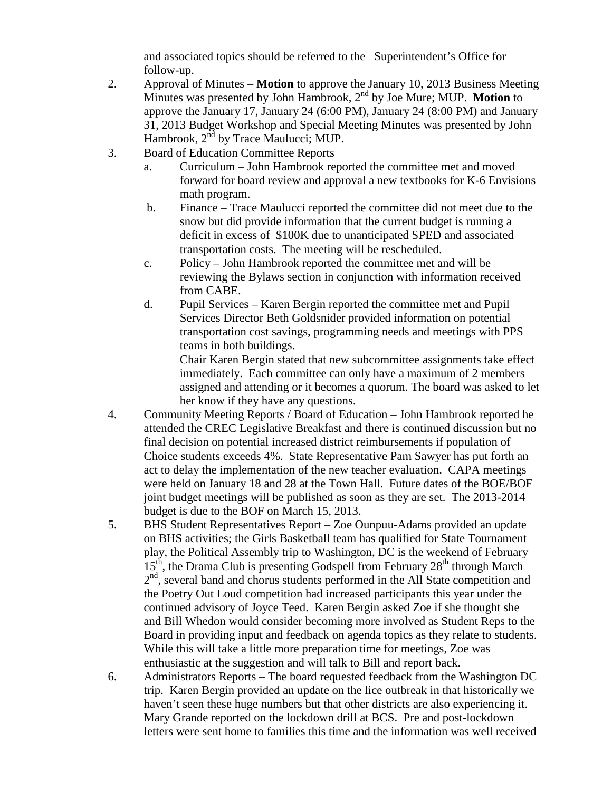and associated topics should be referred to the Superintendent's Office for follow-up.

- 2. Approval of Minutes **Motion** to approve the January 10, 2013 Business Meeting Minutes was presented by John Hambrook, 2nd by Joe Mure; MUP. **Motion** to approve the January 17, January 24 (6:00 PM), January 24 (8:00 PM) and January 31, 2013 Budget Workshop and Special Meeting Minutes was presented by John Hambrook,  $2^{nd}$  by Trace Maulucci; MUP.
- 3. Board of Education Committee Reports
	- a. Curriculum John Hambrook reported the committee met and moved forward for board review and approval a new textbooks for K-6 Envisions math program.
	- b. Finance Trace Maulucci reported the committee did not meet due to the snow but did provide information that the current budget is running a deficit in excess of \$100K due to unanticipated SPED and associated transportation costs. The meeting will be rescheduled.
	- c. Policy John Hambrook reported the committee met and will be reviewing the Bylaws section in conjunction with information received from CABE.
	- d. Pupil Services Karen Bergin reported the committee met and Pupil Services Director Beth Goldsnider provided information on potential transportation cost savings, programming needs and meetings with PPS teams in both buildings.

Chair Karen Bergin stated that new subcommittee assignments take effect immediately. Each committee can only have a maximum of 2 members assigned and attending or it becomes a quorum. The board was asked to let her know if they have any questions.

- 4. Community Meeting Reports / Board of Education John Hambrook reported he attended the CREC Legislative Breakfast and there is continued discussion but no final decision on potential increased district reimbursements if population of Choice students exceeds 4%. State Representative Pam Sawyer has put forth an act to delay the implementation of the new teacher evaluation. CAPA meetings were held on January 18 and 28 at the Town Hall. Future dates of the BOE/BOF joint budget meetings will be published as soon as they are set. The 2013-2014 budget is due to the BOF on March 15, 2013.
- 5. BHS Student Representatives Report Zoe Ounpuu-Adams provided an update on BHS activities; the Girls Basketball team has qualified for State Tournament play, the Political Assembly trip to Washington, DC is the weekend of February  $15<sup>th</sup>$ , the Drama Club is presenting Godspell from February  $28<sup>th</sup>$  through March  $2<sup>nd</sup>$ , several band and chorus students performed in the All State competition and the Poetry Out Loud competition had increased participants this year under the continued advisory of Joyce Teed. Karen Bergin asked Zoe if she thought she and Bill Whedon would consider becoming more involved as Student Reps to the Board in providing input and feedback on agenda topics as they relate to students. While this will take a little more preparation time for meetings, Zoe was enthusiastic at the suggestion and will talk to Bill and report back.
- 6. Administrators Reports The board requested feedback from the Washington DC trip. Karen Bergin provided an update on the lice outbreak in that historically we haven't seen these huge numbers but that other districts are also experiencing it. Mary Grande reported on the lockdown drill at BCS. Pre and post-lockdown letters were sent home to families this time and the information was well received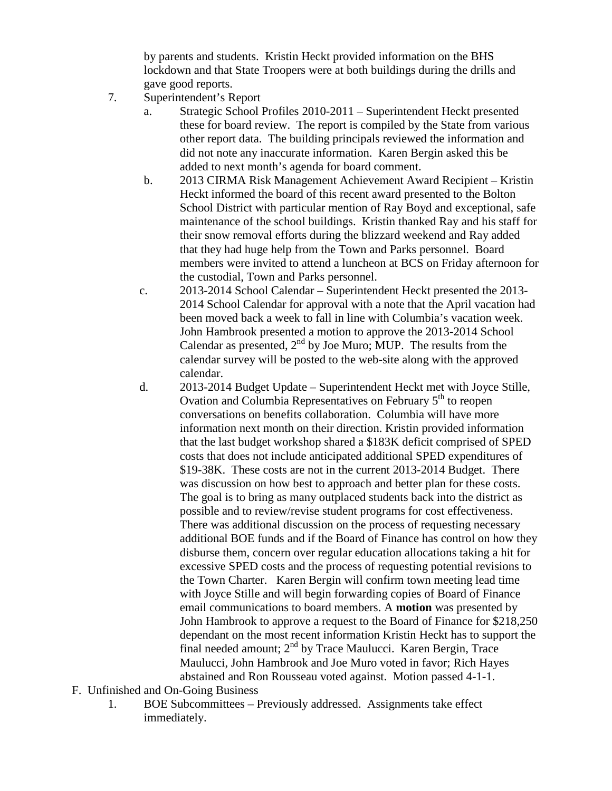by parents and students. Kristin Heckt provided information on the BHS lockdown and that State Troopers were at both buildings during the drills and gave good reports.

- 7. Superintendent's Report
	- a. Strategic School Profiles 2010-2011 Superintendent Heckt presented these for board review. The report is compiled by the State from various other report data. The building principals reviewed the information and did not note any inaccurate information. Karen Bergin asked this be added to next month's agenda for board comment.
	- b. 2013 CIRMA Risk Management Achievement Award Recipient Kristin Heckt informed the board of this recent award presented to the Bolton School District with particular mention of Ray Boyd and exceptional, safe maintenance of the school buildings. Kristin thanked Ray and his staff for their snow removal efforts during the blizzard weekend and Ray added that they had huge help from the Town and Parks personnel. Board members were invited to attend a luncheon at BCS on Friday afternoon for the custodial, Town and Parks personnel.
	- c. 2013-2014 School Calendar Superintendent Heckt presented the 2013- 2014 School Calendar for approval with a note that the April vacation had been moved back a week to fall in line with Columbia's vacation week. John Hambrook presented a motion to approve the 2013-2014 School Calendar as presented,  $2<sup>nd</sup>$  by Joe Muro; MUP. The results from the calendar survey will be posted to the web-site along with the approved calendar.
	- d. 2013-2014 Budget Update Superintendent Heckt met with Joyce Stille, Ovation and Columbia Representatives on February 5<sup>th</sup> to reopen conversations on benefits collaboration. Columbia will have more information next month on their direction. Kristin provided information that the last budget workshop shared a \$183K deficit comprised of SPED costs that does not include anticipated additional SPED expenditures of \$19-38K. These costs are not in the current 2013-2014 Budget. There was discussion on how best to approach and better plan for these costs. The goal is to bring as many outplaced students back into the district as possible and to review/revise student programs for cost effectiveness. There was additional discussion on the process of requesting necessary additional BOE funds and if the Board of Finance has control on how they disburse them, concern over regular education allocations taking a hit for excessive SPED costs and the process of requesting potential revisions to the Town Charter. Karen Bergin will confirm town meeting lead time with Joyce Stille and will begin forwarding copies of Board of Finance email communications to board members. A **motion** was presented by John Hambrook to approve a request to the Board of Finance for \$218,250 dependant on the most recent information Kristin Heckt has to support the final needed amount;  $2<sup>nd</sup>$  by Trace Maulucci. Karen Bergin, Trace Maulucci, John Hambrook and Joe Muro voted in favor; Rich Hayes abstained and Ron Rousseau voted against. Motion passed 4-1-1.
- F. Unfinished and On-Going Business
	- 1. BOE Subcommittees Previously addressed. Assignments take effect immediately.